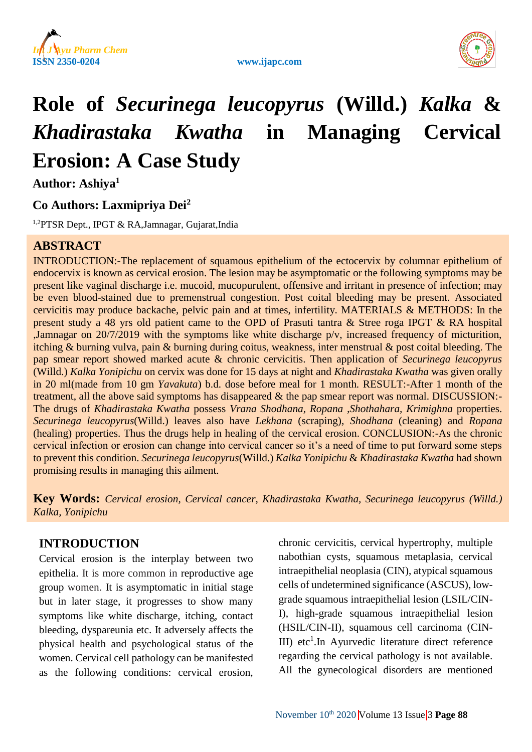



# **Role of** *Securinega leucopyrus* **(Willd.)** *Kalka* **&** *Khadirastaka Kwatha* **in Managing Cervical Erosion: A Case Study**

**Author: Ashiya<sup>1</sup>**

# **Co Authors: Laxmipriya Dei<sup>2</sup>**

1,2PTSR Dept., IPGT & RA,Jamnagar, Gujarat,India

# **ABSTRACT**

INTRODUCTION:-The replacement of squamous epithelium of the ectocervix by columnar epithelium of endocervix is known as cervical erosion. The lesion may be asymptomatic or the following symptoms may be present like vaginal discharge i.e. mucoid, mucopurulent, offensive and irritant in presence of infection; may be even blood-stained due to premenstrual congestion. Post coital bleeding may be present. Associated cervicitis may produce backache, pelvic pain and at times, infertility. MATERIALS & METHODS: In the present study a 48 yrs old patient came to the OPD of Prasuti tantra & Stree roga IPGT & RA hospital ,Jamnagar on 20/7/2019 with the symptoms like white discharge p/v, increased frequency of micturition, itching & burning vulva, pain & burning during coitus, weakness, inter menstrual & post coital bleeding. The pap smear report showed marked acute & chronic cervicitis. Then application of *Securinega leucopyrus* (Willd.) *Kalka Yonipichu* on cervix was done for 15 days at night and *Khadirastaka Kwatha* was given orally in 20 ml(made from 10 gm *Yavakuta*) b.d. dose before meal for 1 month. RESULT:-After 1 month of the treatment, all the above said symptoms has disappeared & the pap smear report was normal. DISCUSSION:- The drugs of *Khadirastaka Kwatha* possess *Vrana Shodhana, Ropana ,Shothahara, Krimighna* properties. *Securinega leucopyrus*(Willd.) leaves also have *Lekhana* (scraping), *Shodhana* (cleaning) and *Ropana* (healing) properties. Thus the drugs help in healing of the cervical erosion. CONCLUSION:-As the chronic cervical infection or erosion can change into cervical cancer so it's a need of time to put forward some steps to prevent this condition. *Securinega leucopyrus*(Willd.) *Kalka Yonipichu* & *Khadirastaka Kwatha* had shown promising results in managing this ailment.

**Key Words:** *Cervical erosion, Cervical cancer, Khadirastaka Kwatha, Securinega leucopyrus (Willd.) Kalka, Yonipichu*

# **INTRODUCTION**

Cervical erosion is the interplay between two epithelia. It is more common in reproductive age group women. It is asymptomatic in initial stage but in later stage, it progresses to show many symptoms like white discharge, itching, contact bleeding, dyspareunia etc. It adversely affects the physical health and psychological status of the women. Cervical cell pathology can be manifested as the following conditions: cervical erosion, chronic cervicitis, cervical hypertrophy, multiple nabothian cysts, squamous metaplasia, cervical intraepithelial neoplasia (CIN), atypical squamous cells of undetermined significance (ASCUS), lowgrade squamous intraepithelial lesion (LSIL/CIN-I), high-grade squamous intraepithelial lesion (HSIL/CIN-II), squamous cell carcinoma (CIN-III) etc<sup>1</sup>. In Ayurvedic literature direct reference regarding the cervical pathology is not available. All the gynecological disorders are mentioned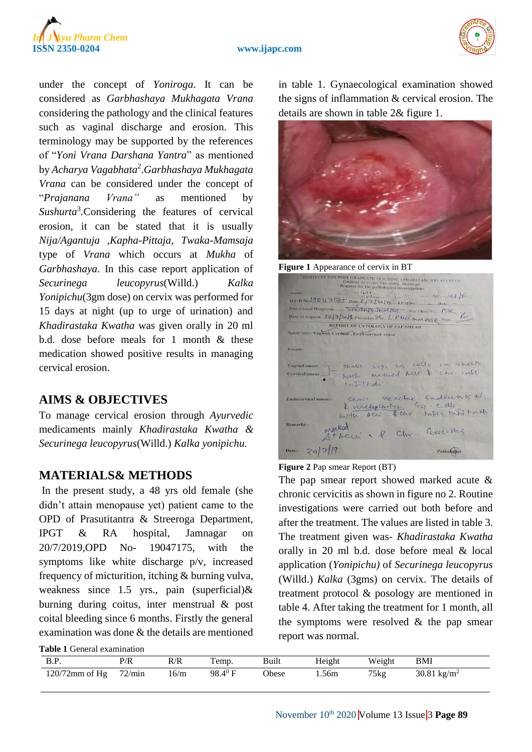



under the concept of *Yoniroga*. It can be considered as *Garbhashaya Mukhagata Vrana* considering the pathology and the clinical features such as vaginal discharge and erosion. This terminology may be supported by the references of "*Yoni Vrana Darshana Yantra*" as mentioned by *Acharya Vagabhata*<sup>2</sup> .*Garbhashaya Mukhagata Vrana* can be considered under the concept of "*Prajanana Vrana"* as mentioned by Sushurta<sup>3</sup>.Considering the features of cervical erosion, it can be stated that it is usually *Nija/Agantuja ,Kapha-Pittaja, Twaka-Mamsaja* type of *Vrana* which occurs at *Mukha* of *Garbhashaya*. In this case report application of *Securinega leucopyrus*(Willd.) *Kalka Yonipichu*(3gm dose) on cervix was performed for 15 days at night (up to urge of urination) and *Khadirastaka Kwatha* was given orally in 20 ml b.d. dose before meals for 1 month  $\&$  these medication showed positive results in managing cervical erosion.

## **AIMS & OBJECTIVES**

To manage cervical erosion through *Ayurvedic* medicaments mainly *Khadirastaka Kwatha & Securinega leucopyrus*(Willd.) *Kalka yonipichu.*

# **MATERIALS& METHODS**

In the present study, a 48 yrs old female (she didn't attain menopause yet) patient came to the OPD of Prasutitantra & Streeroga Department, IPGT & RA hospital, Jamnagar on 20/7/2019,OPD No- 19047175, with the symptoms like white discharge p/v, increased frequency of micturition, itching & burning vulva, weakness since 1.5 yrs., pain (superficial)& burning during coitus, inter menstrual & post coital bleeding since 6 months. Firstly the general examination was done  $\&$  the details are mentioned

**Table 1** General examination

in table 1. Gynaecological examination showed the signs of inflammation & cervical erosion. The details are shown in table 2& figure 1.



**Figure 1** Appearance of cervix in BT

| INSTITUTE FOR POST GRADUATE TEACHING AND RESEARCH IN AVURVED<br>Gujarat Ayurved University, Jamnagar<br>Request for the pathological investigations                                                                                                                                     |
|-----------------------------------------------------------------------------------------------------------------------------------------------------------------------------------------------------------------------------------------------------------------------------------------|
| $rac{1}{2}$ and $rac{1}{2}$ and $rac{1}{2}$ and $rac{1}{2}$ and $rac{1}{2}$ and $rac{1}{2}$ and $rac{1}{2}$ and $rac{1}{2}$ and $rac{1}{2}$ and $rac{1}{2}$ and $rac{1}{2}$ and $rac{1}{2}$ and $rac{1}{2}$ and $rac{1}{2}$ and $rac{1}{2}$ and $rac{1}{2}$ and $rac{1}{2}$ and<br>Name |
|                                                                                                                                                                                                                                                                                         |
|                                                                                                                                                                                                                                                                                         |
| Date of request. 17.12/2019. Physician De. L. P.O.C.i. Deptt. P.J. Q. Sign                                                                                                                                                                                                              |
| REPORT OF CYTOLOGY OF PAP SMEAR                                                                                                                                                                                                                                                         |
| Specimen:- Vaginal, Cervical, Endo cervical smear                                                                                                                                                                                                                                       |
| DEAN CAT PULLER                                                                                                                                                                                                                                                                         |
| Result:-                                                                                                                                                                                                                                                                                |
| shows supply sq. cells in sheets<br>Vaginal smear                                                                                                                                                                                                                                       |
| with married set & chr. infl.<br>Cervical smear                                                                                                                                                                                                                                         |
| $1nF $ tah:                                                                                                                                                                                                                                                                             |
| Sacas reactive Endocenteal<br>Endocervical smear:-                                                                                                                                                                                                                                      |
| I metaplantic Sy. cells<br>with acut & chr. Infl. Info tant                                                                                                                                                                                                                             |
| Remarks:-                                                                                                                                                                                                                                                                               |
| Mareed<br>STACLL . P Chr. Cerviciting                                                                                                                                                                                                                                                   |
| Date: $20$<br>Pathologist                                                                                                                                                                                                                                                               |

#### **Figure 2** Pap smear Report (BT)

The pap smear report showed marked acute & chronic cervicitis as shown in figure no 2. Routine investigations were carried out both before and after the treatment. The values are listed in table 3. The treatment given was- *Khadirastaka Kwatha* orally in 20 ml b.d. dose before meal & local application (*Yonipichu)* of *Securinega leucopyrus* (Willd.) *Kalka* (3gms) on cervix. The details of treatment protocol & posology are mentioned in table 4. After taking the treatment for 1 month, all the symptoms were resolved  $\&$  the pap smear report was normal.

| <b>B.P.</b>                 | P/R | R/R  | Temp.        | Built | Height | Weight        | <b>BMI</b>              |
|-----------------------------|-----|------|--------------|-------|--------|---------------|-------------------------|
| $120/72$ mm of Hg $72$ /min |     | 16/m | $98.4^{0} F$ | Obese | 1.56m  | $75\text{kg}$ | 30.81 kg/m <sup>2</sup> |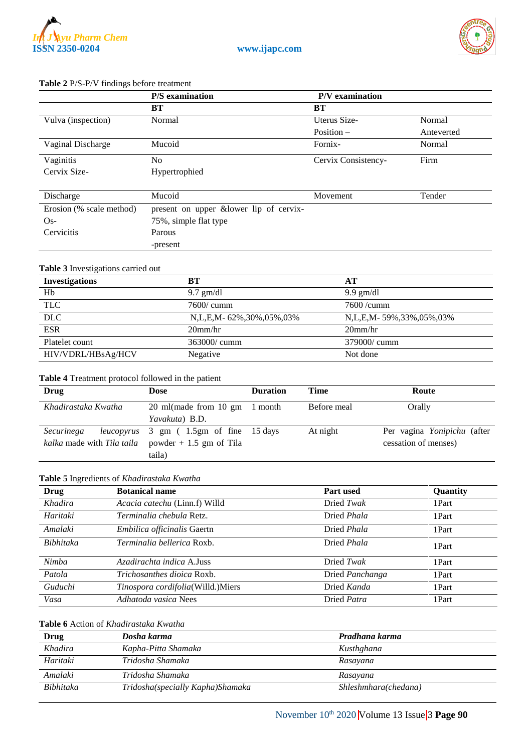

#### **Table 2** P/S-P/V findings before treatment

|                          | P/S examination                        | P/V examination     |            |
|--------------------------|----------------------------------------|---------------------|------------|
|                          | BТ                                     | BT                  |            |
| Vulva (inspection)       | Normal                                 | Uterus Size-        | Normal     |
|                          |                                        | Position $-$        | Anteverted |
| Vaginal Discharge        | Mucoid                                 | Fornix-             | Normal     |
| Vaginitis                | No.                                    | Cervix Consistency- | Firm       |
| Cervix Size-             | Hypertrophied                          |                     |            |
|                          |                                        |                     |            |
| Discharge                | Mucoid                                 | Movement            | Tender     |
| Erosion (% scale method) | present on upper &lower lip of cervix- |                     |            |
| $Os-$                    | 75%, simple flat type                  |                     |            |
| Cervicitis               | Parous                                 |                     |            |
|                          | -present                               |                     |            |

#### **Table 3** Investigations carried out

| <b>Investigations</b> | BТ                       | AT                      |
|-----------------------|--------------------------|-------------------------|
| Hb                    | $9.7$ gm/dl              | $9.9 \text{ gm/dl}$     |
| <b>TLC</b>            | 7600/ cumm               | $7600 / \text{cumm}$    |
| <b>DLC</b>            | N,L,E,M- 62%,30%,05%,03% | N,L,E,M-59%,33%,05%,03% |
| <b>ESR</b>            | $20$ mm/hr               | $20$ mm/hr              |
| Platelet count        | $363000$ cumm            | 379000/ cumm            |
| HIV/VDRL/HBsAg/HCV    | Negative                 | Not done                |

#### **Table 4** Treatment protocol followed in the patient

| Drug                                     | Dose                                          | <b>Duration</b> | <b>Time</b> | Route                       |
|------------------------------------------|-----------------------------------------------|-----------------|-------------|-----------------------------|
| Khadirastaka Kwatha                      | 20 ml(made from 10 gm 1 month                 |                 | Before meal | Orally                      |
|                                          | Yavakuta) B.D.                                |                 |             |                             |
| Securinega                               | <i>leucopyrus</i> 3 gm (1.5gm of fine 15 days |                 | At night    | Per vagina Yonipichu (after |
| <i>kalka</i> made with <i>Tila taila</i> | powder $+1.5$ gm of Tila                      |                 |             | cessation of menses)        |
|                                          | taila)                                        |                 |             |                             |

#### **Table 5** Ingredients of *Khadirastaka Kwatha*

| Drug      | <b>Botanical name</b>              | <b>Part used</b>   | Quantity |
|-----------|------------------------------------|--------------------|----------|
| Khadira   | Acacia catechu (Linn.f) Willd      | Dried Twak         | 1Part    |
| Haritaki  | Terminalia chebula Retz.           | Dried <i>Phala</i> | 1Part    |
| Amalaki   | <i>Embilica officinalis</i> Gaertn | Dried <i>Phala</i> | 1Part    |
| Bibhitaka | Terminalia bellerica Roxb.         | Dried <i>Phala</i> | 1Part    |
| Nimba     | Azadirachta indica A.Juss          | Dried Twak         | 1Part    |
| Patola    | <i>Trichosanthes dioica Roxb.</i>  | Dried Panchanga    | 1Part    |
| Guduchi   | Tinospora cordifolia(Willd.)Miers  | Dried Kanda        | 1Part    |
| Vasa      | Adhatoda vasica Nees               | Dried Patra        | 1Part    |

#### **Table 6** Action of *Khadirastaka Kwatha*

| Drug      | Dosha karma                      | Pradhana karma       |
|-----------|----------------------------------|----------------------|
| Khadira   | Kapha-Pitta Shamaka              | Kusthghana           |
| Haritaki  | Tridosha Shamaka                 | Rasayana             |
| Amalaki   | Tridosha Shamaka                 | Rasayana             |
| Bibhitaka | Tridosha(specially Kapha)Shamaka | Shleshmhara(chedana) |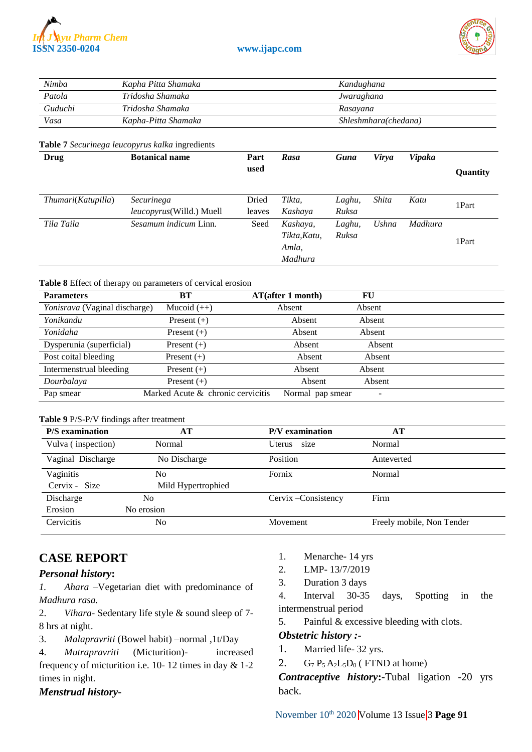



| Nimba   | Kapha Pitta Shamaka | Kandughana           |
|---------|---------------------|----------------------|
| Patola  | Tridosha Shamaka    | Jwaraghana           |
| Guduchi | Tridosha Shamaka    | Rasayana             |
| Vasa    | Kapha-Pitta Shamaka | Shleshmhara(chedana) |

#### **Table 7** *Securinega leucopyrus kalka* ingredients

| Drug               | <b>Botanical name</b>                          | Part<br>used    | Rasa                                         | Guna            | Virya | <b>Vipaka</b> | Quantity |
|--------------------|------------------------------------------------|-----------------|----------------------------------------------|-----------------|-------|---------------|----------|
| Thumari(Katupilla) | Securinega<br><i>leucopyrus</i> (Willd.) Muell | Dried<br>leaves | Tikta,<br>Kashaya                            | Laghu,<br>Ruksa | Shita | Katu          | 1Part    |
| Tila Taila         | Sesamum indicum Linn.                          | Seed            | Kashaya,<br>Tikta, Katu,<br>Amla,<br>Madhura | Laghu,<br>Ruksa | Ushna | Madhura       | 1Part    |

#### **Table 8** Effect of therapy on parameters of cervical erosion

| <b>Parameters</b>             | BT                                | <b>AT(after 1 month)</b> | FU     |  |
|-------------------------------|-----------------------------------|--------------------------|--------|--|
| Yonisrava (Vaginal discharge) | Mucoid $(++)$                     | Absent                   | Absent |  |
| Yonikandu                     | Present $(+)$                     | Absent                   | Absent |  |
| Yonidaha                      | Present $(+)$                     | Absent                   | Absent |  |
| Dysperunia (superficial)      | Present $(+)$                     | Absent                   | Absent |  |
| Post coital bleeding          | Present $(+)$                     | Absent                   | Absent |  |
| Intermenstrual bleeding       | Present $(+)$                     | Absent                   | Absent |  |
| Dourbalaya                    | Present $(+)$                     | Absent                   | Absent |  |
| Pap smear                     | Marked Acute & chronic cervicitis | Normal pap smear         | -      |  |

#### **Table 9** P/S-P/V findings after treatment

| <b>P/S</b> examination | AT                 | P/V examination      | AТ                        |
|------------------------|--------------------|----------------------|---------------------------|
| Vulva (inspection)     | Normal             | size<br>Uterus       | Normal                    |
| Vaginal Discharge      | No Discharge       | Position             | Anteverted                |
| Vaginitis              | No                 | Fornix               | Normal                    |
| Cervix - Size          | Mild Hypertrophied |                      |                           |
| Discharge              | No                 | Cervix - Consistency | Firm                      |
| Erosion                | No erosion         |                      |                           |
| Cervicitis             | No                 | Movement             | Freely mobile, Non Tender |

# **CASE REPORT**

### *Personal history***:**

*1. Ahara* –Vegetarian diet with predominance of *Madhura rasa.*

2. *Vihara-* Sedentary life style & sound sleep of 7- 8 hrs at night.

3. *Malapravriti* (Bowel habit) –normal ,1t/Day

4. *Mutrapravriti* (Micturition)- increased frequency of micturition i.e. 10- 12 times in day & 1-2 times in night.

#### *Menstrual history-*

- 1. Menarche- 14 yrs
- 2. LMP- 13/7/2019
- 3. Duration 3 days

4. Interval 30-35 days, Spotting in the intermenstrual period

5. Painful & excessive bleeding with clots.

#### *Obstetric history :-*

- 1. Married life- 32 yrs.
- 2.  $G_7 P_5 A_2 L_5 D_0$  (FTND at home)

*Contraceptive history***:-**Tubal ligation -20 yrs back.

November 10<sup>th</sup> 2020 Volume 13 Issue 3 Page 91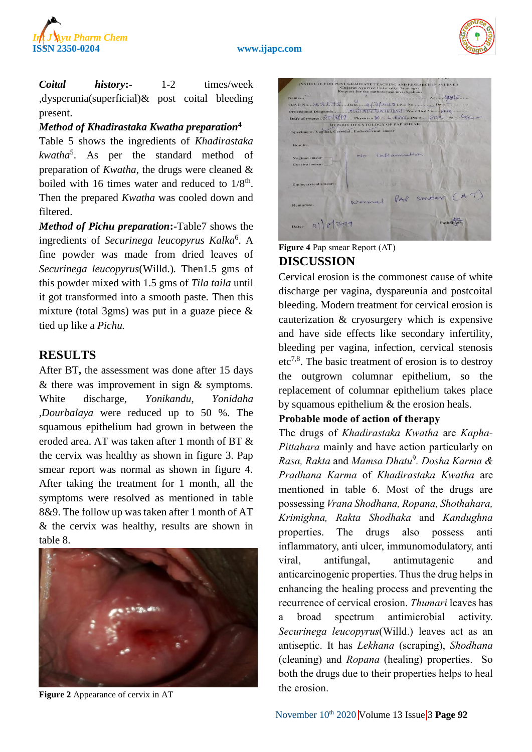



*Coital history***:-** 1-2 times/week ,dysperunia(superficial)& post coital bleeding present.

## *Method of Khadirastaka Kwatha preparation***<sup>4</sup>**

Table 5 shows the ingredients of *Khadirastaka kwatha*<sup>5</sup> . As per the standard method of preparation of *Kwatha*, the drugs were cleaned & boiled with 16 times water and reduced to  $1/8<sup>th</sup>$ . Then the prepared *Kwatha* was cooled down and filtered.

*Method of Pichu preparation***:-**Table7 shows the ingredients of *Securinega leucopyrus Kalka*<sup>6</sup> . A fine powder was made from dried leaves of *Securinega leucopyrus*(Willd.)*.* Then1.5 gms of this powder mixed with 1.5 gms of *Tila taila* until it got transformed into a smooth paste*.* Then this mixture (total 3gms) was put in a guaze piece & tied up like a *Pichu.*

# **RESULTS**

After BT**,** the assessment was done after 15 days & there was improvement in sign & symptoms. White discharge, *Yonikandu*, *Yonidaha* ,*Dourbalaya* were reduced up to 50 %. The squamous epithelium had grown in between the eroded area. AT was taken after 1 month of BT & the cervix was healthy as shown in figure 3. Pap smear report was normal as shown in figure 4. After taking the treatment for 1 month, all the symptoms were resolved as mentioned in table 8&9. The follow up was taken after 1 month of AT & the cervix was healthy, results are shown in table 8.



**Figure 2** Appearance of cervix in AT

| INSTITUTE FOR POST GRADUATE TEACHING AND RESEARCH IN AYURVED<br><b>Gujarat Ayurved University, Jamnagar</b><br>Request for the pathological investigations<br>Age 486<br><b>REPORT OF CYTOLOGY OF PAP SMEAR</b><br>Specimen:- Vaginal, Cervical , Endo cervical smear<br>in Dillib Car Distant<br><b>CARL HATCH ME</b><br>The west with the AGRACIE<br>Result:-<br><b>GEERS</b><br>No inflamation<br>Vaginal smear =<br><b>TIMENT</b><br>Cervical smear<br>THE STAND WAS TO PERFECT TO BE<br>$-4 - 0.3$<br>THE STATE<br>Endocervical smeart-<br>Normal PAP smear (AT)<br>Remarks:-<br>Patholog<br>Date: $2  8 2019$ |  |
|---------------------------------------------------------------------------------------------------------------------------------------------------------------------------------------------------------------------------------------------------------------------------------------------------------------------------------------------------------------------------------------------------------------------------------------------------------------------------------------------------------------------------------------------------------------------------------------------------------------------|--|
| Name<br>0.P.D No. 4 + 1 +5 Date 8/2/2012 LP.D No Date Date<br>Date of request $\mathcal{R} \circ \mathcal{R}$   9  Physician $\mathcal{R}$ . L-P.D.O. Deptt $\mathcal{R}$ B.S. C. Sign.                                                                                                                                                                                                                                                                                                                                                                                                                             |  |
|                                                                                                                                                                                                                                                                                                                                                                                                                                                                                                                                                                                                                     |  |
|                                                                                                                                                                                                                                                                                                                                                                                                                                                                                                                                                                                                                     |  |
|                                                                                                                                                                                                                                                                                                                                                                                                                                                                                                                                                                                                                     |  |
|                                                                                                                                                                                                                                                                                                                                                                                                                                                                                                                                                                                                                     |  |
|                                                                                                                                                                                                                                                                                                                                                                                                                                                                                                                                                                                                                     |  |
|                                                                                                                                                                                                                                                                                                                                                                                                                                                                                                                                                                                                                     |  |
|                                                                                                                                                                                                                                                                                                                                                                                                                                                                                                                                                                                                                     |  |
|                                                                                                                                                                                                                                                                                                                                                                                                                                                                                                                                                                                                                     |  |
|                                                                                                                                                                                                                                                                                                                                                                                                                                                                                                                                                                                                                     |  |
|                                                                                                                                                                                                                                                                                                                                                                                                                                                                                                                                                                                                                     |  |
|                                                                                                                                                                                                                                                                                                                                                                                                                                                                                                                                                                                                                     |  |
|                                                                                                                                                                                                                                                                                                                                                                                                                                                                                                                                                                                                                     |  |
|                                                                                                                                                                                                                                                                                                                                                                                                                                                                                                                                                                                                                     |  |
|                                                                                                                                                                                                                                                                                                                                                                                                                                                                                                                                                                                                                     |  |
|                                                                                                                                                                                                                                                                                                                                                                                                                                                                                                                                                                                                                     |  |
|                                                                                                                                                                                                                                                                                                                                                                                                                                                                                                                                                                                                                     |  |
|                                                                                                                                                                                                                                                                                                                                                                                                                                                                                                                                                                                                                     |  |
|                                                                                                                                                                                                                                                                                                                                                                                                                                                                                                                                                                                                                     |  |
|                                                                                                                                                                                                                                                                                                                                                                                                                                                                                                                                                                                                                     |  |
|                                                                                                                                                                                                                                                                                                                                                                                                                                                                                                                                                                                                                     |  |
|                                                                                                                                                                                                                                                                                                                                                                                                                                                                                                                                                                                                                     |  |
|                                                                                                                                                                                                                                                                                                                                                                                                                                                                                                                                                                                                                     |  |
|                                                                                                                                                                                                                                                                                                                                                                                                                                                                                                                                                                                                                     |  |
|                                                                                                                                                                                                                                                                                                                                                                                                                                                                                                                                                                                                                     |  |
|                                                                                                                                                                                                                                                                                                                                                                                                                                                                                                                                                                                                                     |  |
|                                                                                                                                                                                                                                                                                                                                                                                                                                                                                                                                                                                                                     |  |
|                                                                                                                                                                                                                                                                                                                                                                                                                                                                                                                                                                                                                     |  |

## **Figure 4** Pap smear Report (AT) **DISCUSSION**

Cervical erosion is the commonest cause of white discharge per vagina, dyspareunia and postcoital bleeding. Modern treatment for cervical erosion is cauterization & cryosurgery which is expensive and have side effects like secondary infertility, bleeding per vagina, infection, cervical stenosis  $etc^{7,8}$ . The basic treatment of erosion is to destroy the outgrown columnar epithelium, so the replacement of columnar epithelium takes place by squamous epithelium & the erosion heals.

## **Probable mode of action of therapy**

The drugs of *Khadirastaka Kwatha* are *Kapha-Pittahara* mainly and have action particularly on *Rasa, Rakta* and *Mamsa Dhatu* 9 *. Dosha Karma & Pradhana Karma* of *Khadirastaka Kwatha* are mentioned in table 6. Most of the drugs are possessing *Vrana Shodhana, Ropana, Shothahara, Krimighna, Rakta Shodhaka* and *Kandughna* properties. The drugs also possess anti inflammatory, anti ulcer, immunomodulatory, anti viral, antifungal, antimutagenic and anticarcinogenic properties. Thus the drug helps in enhancing the healing process and preventing the recurrence of cervical erosion. *Thumari* leaves has a broad spectrum antimicrobial activity. *Securinega leucopyrus*(Willd.) leaves act as an antiseptic. It has *Lekhana* (scraping), *Shodhana* (cleaning) and *Ropana* (healing) properties. So both the drugs due to their properties helps to heal the erosion.